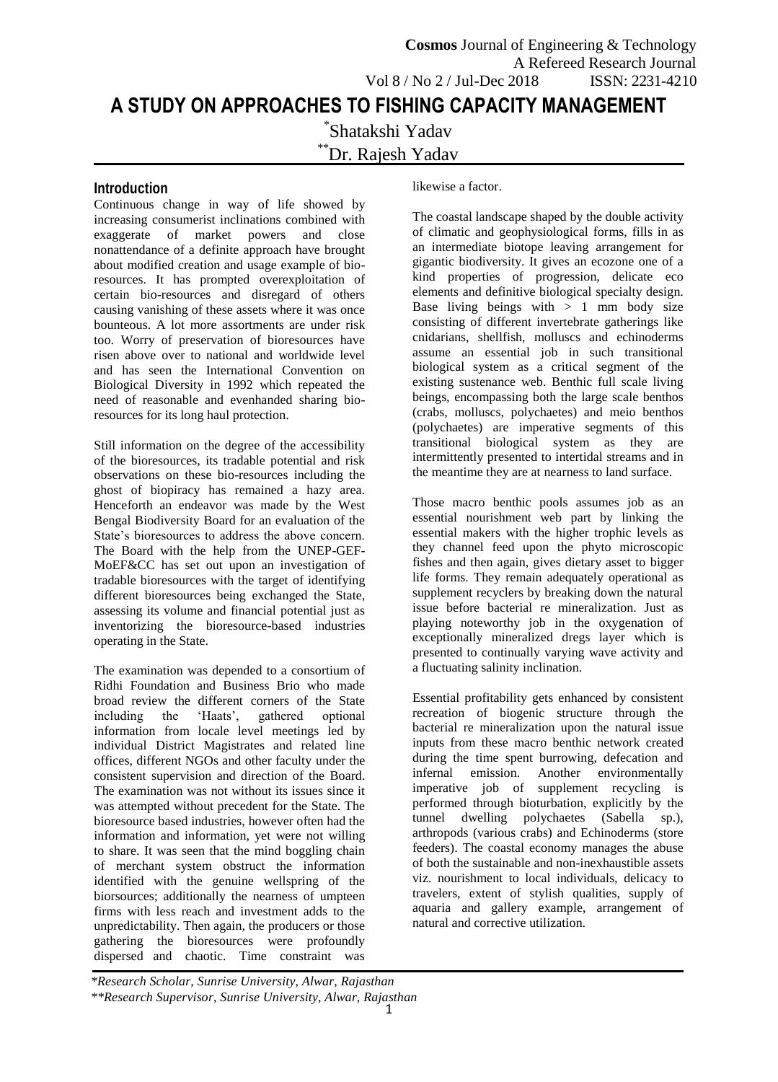# **Introduction**

Continuous change in way of life showed by increasing consumerist inclinations combined with exaggerate of market powers and close nonattendance of a definite approach have brought about modified creation and usage example of bioresources. It has prompted overexploitation of certain bio-resources and disregard of others causing vanishing of these assets where it was once bounteous. A lot more assortments are under risk too. Worry of preservation of bioresources have risen above over to national and worldwide level and has seen the International Convention on Biological Diversity in 1992 which repeated the need of reasonable and evenhanded sharing bioresources for its long haul protection.

Still information on the degree of the accessibility of the bioresources, its tradable potential and risk observations on these bio-resources including the ghost of biopiracy has remained a hazy area. Henceforth an endeavor was made by the West Bengal Biodiversity Board for an evaluation of the State's bioresources to address the above concern. The Board with the help from the UNEP-GEF-MoEF&CC has set out upon an investigation of tradable bioresources with the target of identifying different bioresources being exchanged the State, assessing its volume and financial potential just as inventorizing the bioresource-based industries operating in the State.

The examination was depended to a consortium of Ridhi Foundation and Business Brio who made broad review the different corners of the State including the 'Haats', gathered optional information from locale level meetings led by individual District Magistrates and related line offices, different NGOs and other faculty under the consistent supervision and direction of the Board. The examination was not without its issues since it was attempted without precedent for the State. The bioresource based industries, however often had the information and information, yet were not willing to share. It was seen that the mind boggling chain of merchant system obstruct the information identified with the genuine wellspring of the biorsources; additionally the nearness of umpteen firms with less reach and investment adds to the unpredictability. Then again, the producers or those gathering the bioresources were profoundly dispersed and chaotic. Time constraint was

likewise a factor.

The coastal landscape shaped by the double activity of climatic and geophysiological forms, fills in as an intermediate biotope leaving arrangement for gigantic biodiversity. It gives an ecozone one of a kind properties of progression, delicate eco elements and definitive biological specialty design. Base living beings with  $> 1$  mm body size consisting of different invertebrate gatherings like cnidarians, shellfish, molluscs and echinoderms assume an essential job in such transitional biological system as a critical segment of the existing sustenance web. Benthic full scale living beings, encompassing both the large scale benthos (crabs, molluscs, polychaetes) and meio benthos (polychaetes) are imperative segments of this transitional biological system as they are intermittently presented to intertidal streams and in the meantime they are at nearness to land surface.

Those macro benthic pools assumes job as an essential nourishment web part by linking the essential makers with the higher trophic levels as they channel feed upon the phyto microscopic fishes and then again, gives dietary asset to bigger life forms. They remain adequately operational as supplement recyclers by breaking down the natural issue before bacterial re mineralization. Just as playing noteworthy job in the oxygenation of exceptionally mineralized dregs layer which is presented to continually varying wave activity and a fluctuating salinity inclination.

Essential profitability gets enhanced by consistent recreation of biogenic structure through the bacterial re mineralization upon the natural issue inputs from these macro benthic network created during the time spent burrowing, defecation and infernal emission. Another environmentally imperative job of supplement recycling is performed through bioturbation, explicitly by the tunnel dwelling polychaetes (Sabella sp.). tunnel dwelling polychaetes (Sabella sp.), arthropods (various crabs) and Echinoderms (store feeders). The coastal economy manages the abuse of both the sustainable and non-inexhaustible assets viz. nourishment to local individuals, delicacy to travelers, extent of stylish qualities, supply of aquaria and gallery example, arrangement of natural and corrective utilization.

*<sup>\*</sup>Research Scholar, Sunrise University, Alwar, Rajasthan \*\*Research Supervisor, Sunrise University, Alwar, Rajasthan*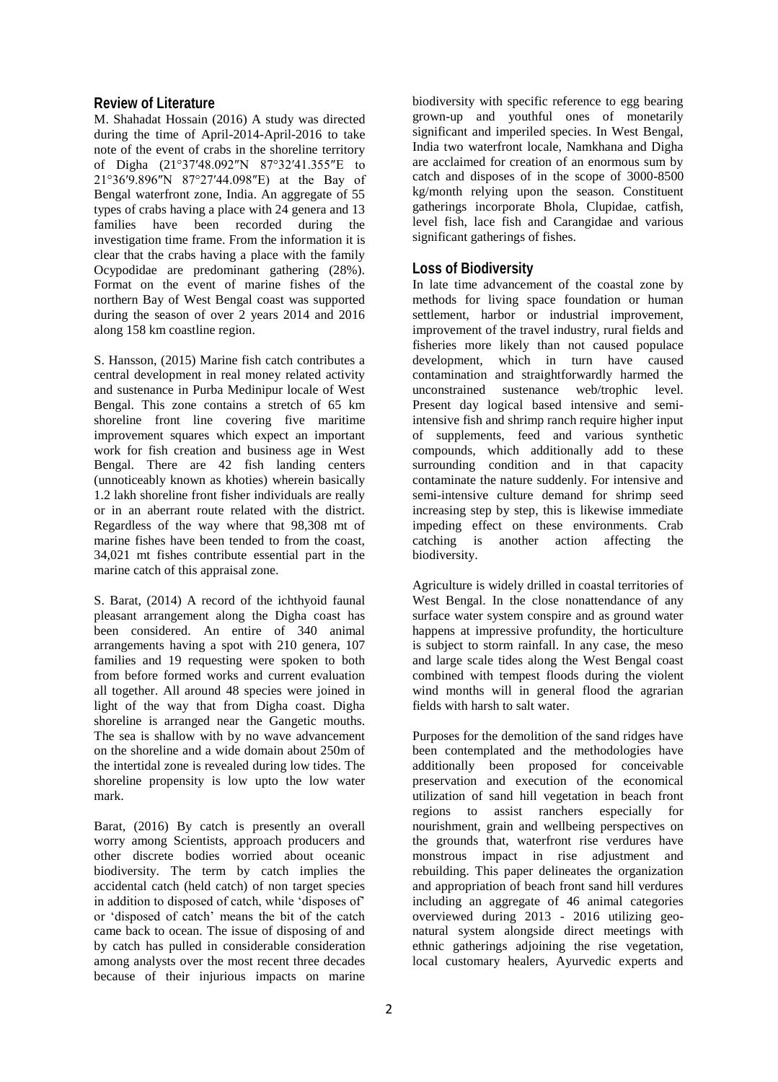#### **Review of Literature**

M. Shahadat Hossain (2016) A study was directed during the time of April-2014-April-2016 to take note of the event of crabs in the shoreline territory of Digha (21°37′48.092″N 87°32′41.355″E to 21°36′9.896″N 87°27′44.098″E) at the Bay of Bengal waterfront zone, India. An aggregate of 55 types of crabs having a place with 24 genera and 13 families have been recorded during the investigation time frame. From the information it is clear that the crabs having a place with the family Ocypodidae are predominant gathering (28%). Format on the event of marine fishes of the northern Bay of West Bengal coast was supported during the season of over 2 years 2014 and 2016 along 158 km coastline region.

S. Hansson, (2015) Marine fish catch contributes a central development in real money related activity and sustenance in Purba Medinipur locale of West Bengal. This zone contains a stretch of 65 km shoreline front line covering five maritime improvement squares which expect an important work for fish creation and business age in West Bengal. There are 42 fish landing centers (unnoticeably known as khoties) wherein basically 1.2 lakh shoreline front fisher individuals are really or in an aberrant route related with the district. Regardless of the way where that 98,308 mt of marine fishes have been tended to from the coast, 34,021 mt fishes contribute essential part in the marine catch of this appraisal zone.

S. Barat, (2014) A record of the ichthyoid faunal pleasant arrangement along the Digha coast has been considered. An entire of 340 animal arrangements having a spot with 210 genera, 107 families and 19 requesting were spoken to both from before formed works and current evaluation all together. All around 48 species were joined in light of the way that from Digha coast. Digha shoreline is arranged near the Gangetic mouths. The sea is shallow with by no wave advancement on the shoreline and a wide domain about 250m of the intertidal zone is revealed during low tides. The shoreline propensity is low upto the low water mark.

Barat, (2016) By catch is presently an overall worry among Scientists, approach producers and other discrete bodies worried about oceanic biodiversity. The term by catch implies the accidental catch (held catch) of non target species in addition to disposed of catch, while 'disposes of' or 'disposed of catch' means the bit of the catch came back to ocean. The issue of disposing of and by catch has pulled in considerable consideration among analysts over the most recent three decades because of their injurious impacts on marine

biodiversity with specific reference to egg bearing grown-up and youthful ones of monetarily significant and imperiled species. In West Bengal, India two waterfront locale, Namkhana and Digha are acclaimed for creation of an enormous sum by catch and disposes of in the scope of 3000-8500 kg/month relying upon the season. Constituent gatherings incorporate Bhola, Clupidae, catfish, level fish, lace fish and Carangidae and various significant gatherings of fishes.

### **Loss of Biodiversity**

In late time advancement of the coastal zone by methods for living space foundation or human settlement, harbor or industrial improvement, improvement of the travel industry, rural fields and fisheries more likely than not caused populace development, which in turn have caused contamination and straightforwardly harmed the unconstrained sustenance web/trophic level. Present day logical based intensive and semiintensive fish and shrimp ranch require higher input of supplements, feed and various synthetic compounds, which additionally add to these surrounding condition and in that capacity contaminate the nature suddenly. For intensive and semi-intensive culture demand for shrimp seed increasing step by step, this is likewise immediate impeding effect on these environments. Crab catching is another action affecting the biodiversity.

Agriculture is widely drilled in coastal territories of West Bengal. In the close nonattendance of any surface water system conspire and as ground water happens at impressive profundity, the horticulture is subject to storm rainfall. In any case, the meso and large scale tides along the West Bengal coast combined with tempest floods during the violent wind months will in general flood the agrarian fields with harsh to salt water.

Purposes for the demolition of the sand ridges have been contemplated and the methodologies have additionally been proposed for conceivable preservation and execution of the economical utilization of sand hill vegetation in beach front regions to assist ranchers especially for nourishment, grain and wellbeing perspectives on the grounds that, waterfront rise verdures have monstrous impact in rise adjustment and rebuilding. This paper delineates the organization and appropriation of beach front sand hill verdures including an aggregate of 46 animal categories overviewed during 2013 - 2016 utilizing geonatural system alongside direct meetings with ethnic gatherings adjoining the rise vegetation, local customary healers, Ayurvedic experts and